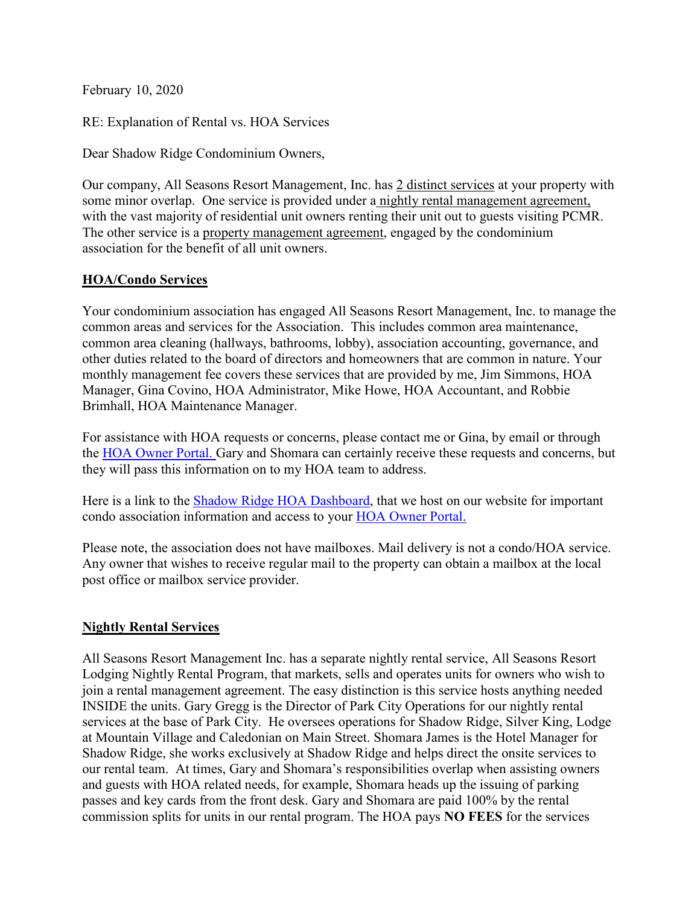February 10, 2020

RE: Explanation of Rental vs. HOA Services

Dear Shadow Ridge Condominium Owners,

Our company, All Seasons Resort Management, Inc. has 2 distinct services at your property with some minor overlap. One service is provided under a nightly rental management agreement, with the vast majority of residential unit owners renting their unit out to guests visiting PCMR. The other service is a property management agreement, engaged by the condominium association for the benefit of all unit owners.

## **HOA/Condo Services**

Your condominium association has engaged All Seasons Resort Management, Inc. to manage the common areas and services for the Association. This includes common area maintenance, common area cleaning (hallways, bathrooms, lobby), association accounting, governance, and other duties related to the board of directors and homeowners that are common in nature. Your monthly management fee covers these services that are provided by me, Jim Simmons, HOA Manager, Gina Covino, HOA Administrator, Mike Howe, HOA Accountant, and Robbie Brimhall, HOA Maintenance Manager.

For assistance with HOA requests or concerns, please contact me or Gina, by email or through the [HOA Owner Portal. G](https://allseasonsresortlodging.managebuilding.com/Resident/portal/login)ary and Shomara can certainly receive these requests and concerns, but they will pass this information on to my HOA team to address.

Here is a link to the [Shadow Ridge HOA Dashboard,](https://www.allseasonsresortlodging.com/hoa/shadow-ridge-resort-hotel-and-conference-center/) that we host on our website for important condo association information and access to your HOA [Owner Portal.](https://allseasonsresortlodging.managebuilding.com/Resident/portal/login)

Please note, the association does not have mailboxes. Mail delivery is not a condo/HOA service. Any owner that wishes to receive regular mail to the property can obtain a mailbox at the local post office or mailbox service provider.

## **Nightly Rental Services**

All Seasons Resort Management Inc. has a separate nightly rental service, All Seasons Resort Lodging Nightly Rental Program, that markets, sells and operates units for owners who wish to join a rental management agreement. The easy distinction is this service hosts anything needed INSIDE the units. Gary Gregg is the Director of Park City Operations for our nightly rental services at the base of Park City. He oversees operations for Shadow Ridge, Silver King, Lodge at Mountain Village and Caledonian on Main Street. Shomara James is the Hotel Manager for Shadow Ridge, she works exclusively at Shadow Ridge and helps direct the onsite services to our rental team. At times, Gary and Shomara's responsibilities overlap when assisting owners and guests with HOA related needs, for example, Shomara heads up the issuing of parking passes and key cards from the front desk. Gary and Shomara are paid 100% by the rental commission splits for units in our rental program. The HOA pays **NO FEES** for the services